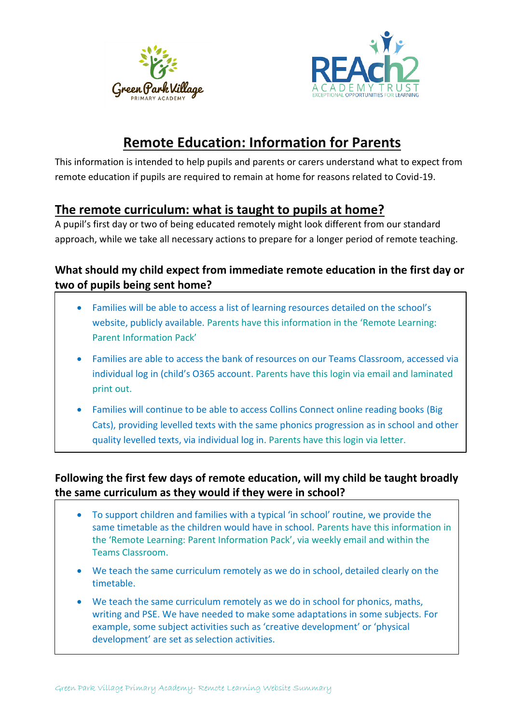



# **Remote Education: Information for Parents**

This information is intended to help pupils and parents or carers understand what to expect from remote education if pupils are required to remain at home for reasons related to Covid-19.

### **The remote curriculum: what is taught to pupils at home?**

A pupil's first day or two of being educated remotely might look different from our standard approach, while we take all necessary actions to prepare for a longer period of remote teaching.

### **What should my child expect from immediate remote education in the first day or two of pupils being sent home?**

- Families will be able to access a list of learning resources detailed on the school's website, publicly available. Parents have this information in the 'Remote Learning: Parent Information Pack'
- Families are able to access the bank of resources on our Teams Classroom, accessed via individual log in (child's O365 account. Parents have this login via email and laminated print out.
- Families will continue to be able to access Collins Connect online reading books (Big Cats), providing levelled texts with the same phonics progression as in school and other quality levelled texts, via individual log in. Parents have this login via letter.

### **Following the first few days of remote education, will my child be taught broadly the same curriculum as they would if they were in school?**

- To support children and families with a typical 'in school' routine, we provide the same timetable as the children would have in school. Parents have this information in the 'Remote Learning: Parent Information Pack', via weekly email and within the Teams Classroom.
- We teach the same curriculum remotely as we do in school, detailed clearly on the timetable.
- We teach the same curriculum remotely as we do in school for phonics, maths, writing and PSE. We have needed to make some adaptations in some subjects. For example, some subject activities such as 'creative development' or 'physical development' are set as selection activities.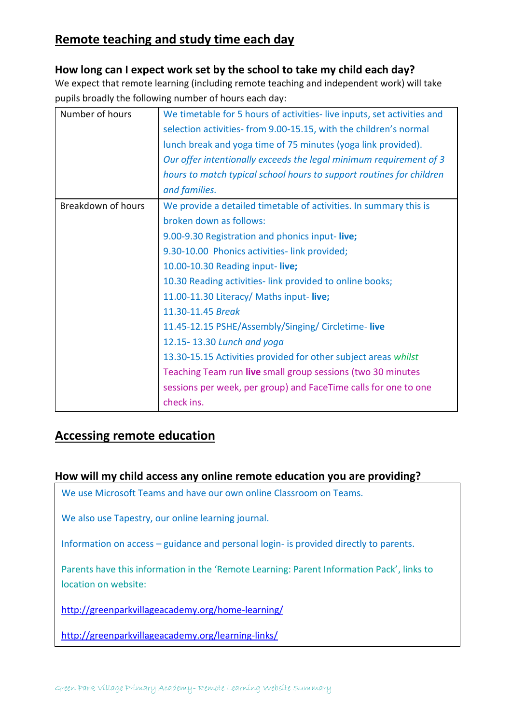# **Remote teaching and study time each day**

#### **How long can I expect work set by the school to take my child each day?**

We expect that remote learning (including remote teaching and independent work) will take pupils broadly the following number of hours each day:

| Number of hours    | We timetable for 5 hours of activities-live inputs, set activities and<br>selection activities-from 9.00-15.15, with the children's normal<br>lunch break and yoga time of 75 minutes (yoga link provided).<br>Our offer intentionally exceeds the legal minimum requirement of 3<br>hours to match typical school hours to support routines for children |
|--------------------|-----------------------------------------------------------------------------------------------------------------------------------------------------------------------------------------------------------------------------------------------------------------------------------------------------------------------------------------------------------|
|                    | and families.                                                                                                                                                                                                                                                                                                                                             |
| Breakdown of hours | We provide a detailed timetable of activities. In summary this is                                                                                                                                                                                                                                                                                         |
|                    | broken down as follows:                                                                                                                                                                                                                                                                                                                                   |
|                    | 9.00-9.30 Registration and phonics input-live;                                                                                                                                                                                                                                                                                                            |
|                    | 9.30-10.00 Phonics activities-link provided;                                                                                                                                                                                                                                                                                                              |
|                    | 10.00-10.30 Reading input-live;                                                                                                                                                                                                                                                                                                                           |
|                    | 10.30 Reading activities-link provided to online books;                                                                                                                                                                                                                                                                                                   |
|                    | 11.00-11.30 Literacy/ Maths input-live;                                                                                                                                                                                                                                                                                                                   |
|                    | 11.30-11.45 Break                                                                                                                                                                                                                                                                                                                                         |
|                    | 11.45-12.15 PSHE/Assembly/Singing/ Circletime-live                                                                                                                                                                                                                                                                                                        |
|                    | 12.15-13.30 Lunch and yoga                                                                                                                                                                                                                                                                                                                                |
|                    | 13.30-15.15 Activities provided for other subject areas whilst                                                                                                                                                                                                                                                                                            |
|                    | Teaching Team run live small group sessions (two 30 minutes                                                                                                                                                                                                                                                                                               |
|                    | sessions per week, per group) and FaceTime calls for one to one                                                                                                                                                                                                                                                                                           |
|                    | check ins.                                                                                                                                                                                                                                                                                                                                                |

### **Accessing remote education**

#### **How will my child access any online remote education you are providing?**

We use Microsoft Teams and have our own online Classroom on Teams.

We also use Tapestry, our online learning journal.

Information on access – guidance and personal login- is provided directly to parents.

Parents have this information in the 'Remote Learning: Parent Information Pack', links to location on website:

<http://greenparkvillageacademy.org/home-learning/>

<http://greenparkvillageacademy.org/learning-links/>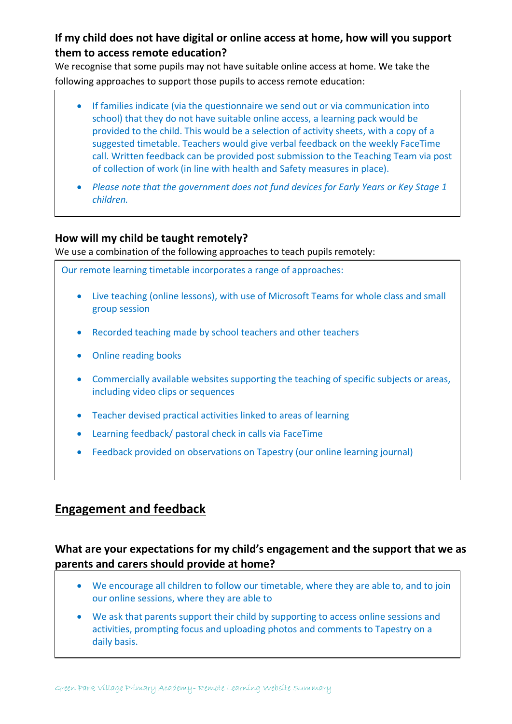### **If my child does not have digital or online access at home, how will you support them to access remote education?**

We recognise that some pupils may not have suitable online access at home. We take the following approaches to support those pupils to access remote education:

| • If families indicate (via the questionnaire we send out or via communication into<br>school) that they do not have suitable online access, a learning pack would be<br>provided to the child. This would be a selection of activity sheets, with a copy of a<br>suggested timetable. Teachers would give verbal feedback on the weekly FaceTime |
|---------------------------------------------------------------------------------------------------------------------------------------------------------------------------------------------------------------------------------------------------------------------------------------------------------------------------------------------------|
| call. Written feedback can be provided post submission to the Teaching Team via post<br>of collection of work (in line with health and Safety measures in place).                                                                                                                                                                                 |

• *Please note that the government does not fund devices for Early Years or Key Stage 1 children.* 

#### **How will my child be taught remotely?**

We use a combination of the following approaches to teach pupils remotely:

Our remote learning timetable incorporates a range of approaches:

- Live teaching (online lessons), with use of Microsoft Teams for whole class and small group session
- Recorded teaching made by school teachers and other teachers
- Online reading books
- Commercially available websites supporting the teaching of specific subjects or areas, including video clips or sequences
- Teacher devised practical activities linked to areas of learning
- Learning feedback/ pastoral check in calls via FaceTime
- Feedback provided on observations on Tapestry (our online learning journal)

# **Engagement and feedback**

•

### **What are your expectations for my child's engagement and the support that we as parents and carers should provide at home?**

- We encourage all children to follow our timetable, where they are able to, and to join our online sessions, where they are able to
- We ask that parents support their child by supporting to access online sessions and activities, prompting focus and uploading photos and comments to Tapestry on a daily basis.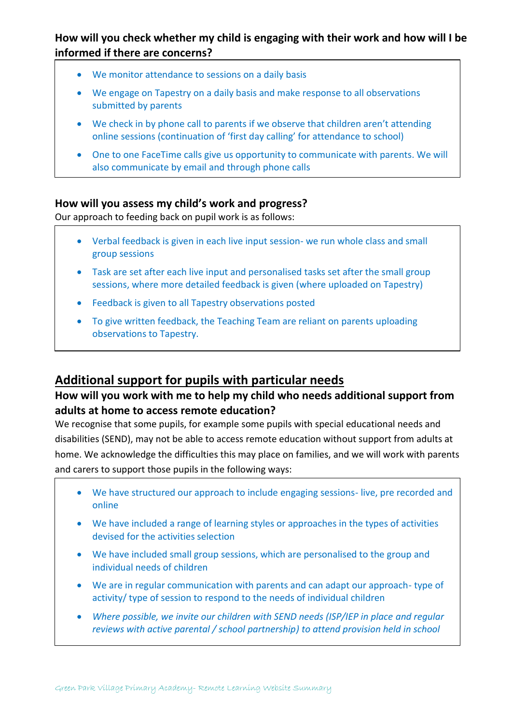### **How will you check whether my child is engaging with their work and how will I be informed if there are concerns?**

- We monitor attendance to sessions on a daily basis
- We engage on Tapestry on a daily basis and make response to all observations submitted by parents
- We check in by phone call to parents if we observe that children aren't attending online sessions (continuation of 'first day calling' for attendance to school)
- One to one FaceTime calls give us opportunity to communicate with parents. We will also communicate by email and through phone calls

#### **How will you assess my child's work and progress?**

Our approach to feeding back on pupil work is as follows:

- Verbal feedback is given in each live input session- we run whole class and small group sessions
- Task are set after each live input and personalised tasks set after the small group sessions, where more detailed feedback is given (where uploaded on Tapestry)
- Feedback is given to all Tapestry observations posted
- To give written feedback, the Teaching Team are reliant on parents uploading observations to Tapestry.

### **Additional support for pupils with particular needs**

#### **How will you work with me to help my child who needs additional support from adults at home to access remote education?**

We recognise that some pupils, for example some pupils with special educational needs and disabilities (SEND), may not be able to access remote education without support from adults at home. We acknowledge the difficulties this may place on families, and we will work with parents and carers to support those pupils in the following ways:

- We have structured our approach to include engaging sessions- live, pre recorded and online
- We have included a range of learning styles or approaches in the types of activities devised for the activities selection
- We have included small group sessions, which are personalised to the group and individual needs of children
- We are in regular communication with parents and can adapt our approach- type of activity/ type of session to respond to the needs of individual children
- *Where possible, we invite our children with SEND needs (ISP/IEP in place and regular reviews with active parental / school partnership) to attend provision held in school*